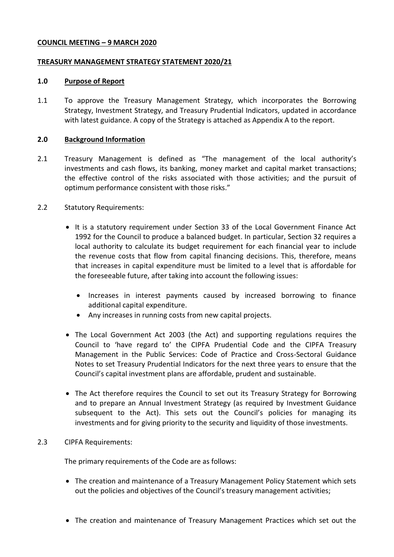## **COUNCIL MEETING – 9 MARCH 2020**

## **TREASURY MANAGEMENT STRATEGY STATEMENT 2020/21**

#### **1.0 Purpose of Report**

1.1 To approve the Treasury Management Strategy, which incorporates the Borrowing Strategy, Investment Strategy, and Treasury Prudential Indicators, updated in accordance with latest guidance. A copy of the Strategy is attached as Appendix A to the report.

## **2.0 Background Information**

- 2.1 Treasury Management is defined as "The management of the local authority's investments and cash flows, its banking, money market and capital market transactions; the effective control of the risks associated with those activities; and the pursuit of optimum performance consistent with those risks."
- 2.2 Statutory Requirements:
	- It is a statutory requirement under Section 33 of the Local Government Finance Act 1992 for the Council to produce a balanced budget. In particular, Section 32 requires a local authority to calculate its budget requirement for each financial year to include the revenue costs that flow from capital financing decisions. This, therefore, means that increases in capital expenditure must be limited to a level that is affordable for the foreseeable future, after taking into account the following issues:
		- Increases in interest payments caused by increased borrowing to finance additional capital expenditure.
		- Any increases in running costs from new capital projects.
	- The Local Government Act 2003 (the Act) and supporting regulations requires the Council to 'have regard to' the CIPFA Prudential Code and the CIPFA Treasury Management in the Public Services: Code of Practice and Cross-Sectoral Guidance Notes to set Treasury Prudential Indicators for the next three years to ensure that the Council's capital investment plans are affordable, prudent and sustainable.
	- The Act therefore requires the Council to set out its Treasury Strategy for Borrowing and to prepare an Annual Investment Strategy (as required by Investment Guidance subsequent to the Act). This sets out the Council's policies for managing its investments and for giving priority to the security and liquidity of those investments.

# 2.3 CIPFA Requirements:

The primary requirements of the Code are as follows:

- The creation and maintenance of a Treasury Management Policy Statement which sets out the policies and objectives of the Council's treasury management activities;
- The creation and maintenance of Treasury Management Practices which set out the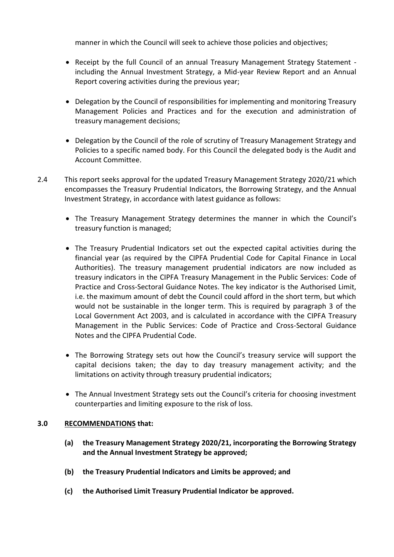manner in which the Council will seek to achieve those policies and objectives;

- Receipt by the full Council of an annual Treasury Management Strategy Statement including the Annual Investment Strategy, a Mid-year Review Report and an Annual Report covering activities during the previous year;
- Delegation by the Council of responsibilities for implementing and monitoring Treasury Management Policies and Practices and for the execution and administration of treasury management decisions;
- Delegation by the Council of the role of scrutiny of Treasury Management Strategy and Policies to a specific named body. For this Council the delegated body is the Audit and Account Committee.
- 2.4 This report seeks approval for the updated Treasury Management Strategy 2020/21 which encompasses the Treasury Prudential Indicators, the Borrowing Strategy, and the Annual Investment Strategy, in accordance with latest guidance as follows:
	- The Treasury Management Strategy determines the manner in which the Council's treasury function is managed;
	- The Treasury Prudential Indicators set out the expected capital activities during the financial year (as required by the CIPFA Prudential Code for Capital Finance in Local Authorities). The treasury management prudential indicators are now included as treasury indicators in the CIPFA Treasury Management in the Public Services: Code of Practice and Cross-Sectoral Guidance Notes. The key indicator is the Authorised Limit, i.e. the maximum amount of debt the Council could afford in the short term, but which would not be sustainable in the longer term. This is required by paragraph 3 of the Local Government Act 2003, and is calculated in accordance with the CIPFA Treasury Management in the Public Services: Code of Practice and Cross-Sectoral Guidance Notes and the CIPFA Prudential Code.
	- The Borrowing Strategy sets out how the Council's treasury service will support the capital decisions taken; the day to day treasury management activity; and the limitations on activity through treasury prudential indicators;
	- The Annual Investment Strategy sets out the Council's criteria for choosing investment counterparties and limiting exposure to the risk of loss.

# **3.0 RECOMMENDATIONS that:**

- **(a) the Treasury Management Strategy 2020/21, incorporating the Borrowing Strategy and the Annual Investment Strategy be approved;**
- **(b) the Treasury Prudential Indicators and Limits be approved; and**
- **(c) the Authorised Limit Treasury Prudential Indicator be approved.**